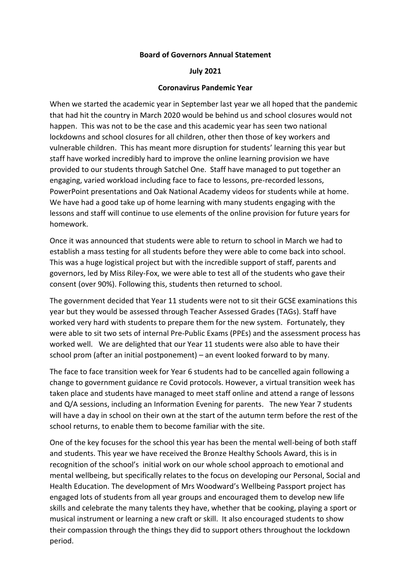## **Board of Governors Annual Statement**

## **July 2021**

## **Coronavirus Pandemic Year**

When we started the academic year in September last year we all hoped that the pandemic that had hit the country in March 2020 would be behind us and school closures would not happen. This was not to be the case and this academic year has seen two national lockdowns and school closures for all children, other then those of key workers and vulnerable children. This has meant more disruption for students' learning this year but staff have worked incredibly hard to improve the online learning provision we have provided to our students through Satchel One. Staff have managed to put together an engaging, varied workload including face to face to lessons, pre-recorded lessons, PowerPoint presentations and Oak National Academy videos for students while at home. We have had a good take up of home learning with many students engaging with the lessons and staff will continue to use elements of the online provision for future years for homework.

Once it was announced that students were able to return to school in March we had to establish a mass testing for all students before they were able to come back into school. This was a huge logistical project but with the incredible support of staff, parents and governors, led by Miss Riley-Fox, we were able to test all of the students who gave their consent (over 90%). Following this, students then returned to school.

The government decided that Year 11 students were not to sit their GCSE examinations this year but they would be assessed through Teacher Assessed Grades (TAGs). Staff have worked very hard with students to prepare them for the new system. Fortunately, they were able to sit two sets of internal Pre-Public Exams (PPEs) and the assessment process has worked well. We are delighted that our Year 11 students were also able to have their school prom (after an initial postponement) – an event looked forward to by many.

The face to face transition week for Year 6 students had to be cancelled again following a change to government guidance re Covid protocols. However, a virtual transition week has taken place and students have managed to meet staff online and attend a range of lessons and Q/A sessions, including an Information Evening for parents. The new Year 7 students will have a day in school on their own at the start of the autumn term before the rest of the school returns, to enable them to become familiar with the site.

One of the key focuses for the school this year has been the mental well-being of both staff and students. This year we have received the Bronze Healthy Schools Award, this is in recognition of the school's initial work on our whole school approach to emotional and mental wellbeing, but specifically relates to the focus on developing our Personal, Social and Health Education. The development of Mrs Woodward's Wellbeing Passport project has engaged lots of students from all year groups and encouraged them to develop new life skills and celebrate the many talents they have, whether that be cooking, playing a sport or musical instrument or learning a new craft or skill. It also encouraged students to show their compassion through the things they did to support others throughout the lockdown period.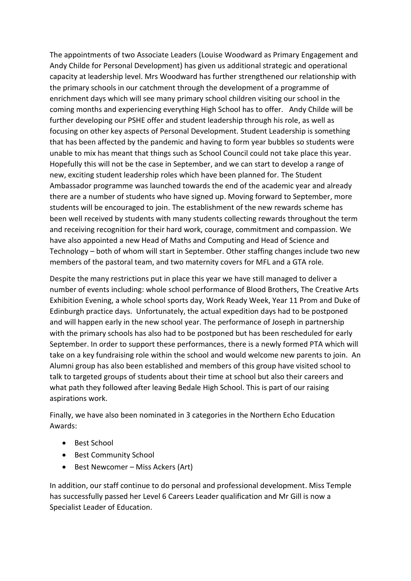The appointments of two Associate Leaders (Louise Woodward as Primary Engagement and Andy Childe for Personal Development) has given us additional strategic and operational capacity at leadership level. Mrs Woodward has further strengthened our relationship with the primary schools in our catchment through the development of a programme of enrichment days which will see many primary school children visiting our school in the coming months and experiencing everything High School has to offer. Andy Childe will be further developing our PSHE offer and student leadership through his role, as well as focusing on other key aspects of Personal Development. Student Leadership is something that has been affected by the pandemic and having to form year bubbles so students were unable to mix has meant that things such as School Council could not take place this year. Hopefully this will not be the case in September, and we can start to develop a range of new, exciting student leadership roles which have been planned for. The Student Ambassador programme was launched towards the end of the academic year and already there are a number of students who have signed up. Moving forward to September, more students will be encouraged to join. The establishment of the new rewards scheme has been well received by students with many students collecting rewards throughout the term and receiving recognition for their hard work, courage, commitment and compassion. We have also appointed a new Head of Maths and Computing and Head of Science and Technology – both of whom will start in September. Other staffing changes include two new members of the pastoral team, and two maternity covers for MFL and a GTA role.

Despite the many restrictions put in place this year we have still managed to deliver a number of events including: whole school performance of Blood Brothers, The Creative Arts Exhibition Evening, a whole school sports day, Work Ready Week, Year 11 Prom and Duke of Edinburgh practice days. Unfortunately, the actual expedition days had to be postponed and will happen early in the new school year. The performance of Joseph in partnership with the primary schools has also had to be postponed but has been rescheduled for early September. In order to support these performances, there is a newly formed PTA which will take on a key fundraising role within the school and would welcome new parents to join. An Alumni group has also been established and members of this group have visited school to talk to targeted groups of students about their time at school but also their careers and what path they followed after leaving Bedale High School. This is part of our raising aspirations work.

Finally, we have also been nominated in 3 categories in the Northern Echo Education Awards:

- Best School
- Best Community School
- Best Newcomer Miss Ackers (Art)

In addition, our staff continue to do personal and professional development. Miss Temple has successfully passed her Level 6 Careers Leader qualification and Mr Gill is now a Specialist Leader of Education.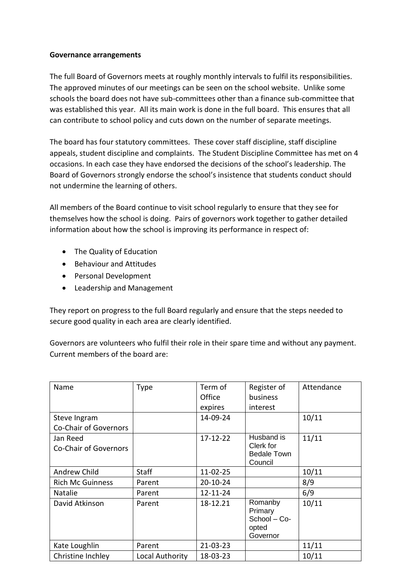## **Governance arrangements**

The full Board of Governors meets at roughly monthly intervals to fulfil its responsibilities. The approved minutes of our meetings can be seen on the school website. Unlike some schools the board does not have sub-committees other than a finance sub-committee that was established this year. All its main work is done in the full board. This ensures that all can contribute to school policy and cuts down on the number of separate meetings.

The board has four statutory committees. These cover staff discipline, staff discipline appeals, student discipline and complaints. The Student Discipline Committee has met on 4 occasions. In each case they have endorsed the decisions of the school's leadership. The Board of Governors strongly endorse the school's insistence that students conduct should not undermine the learning of others.

All members of the Board continue to visit school regularly to ensure that they see for themselves how the school is doing. Pairs of governors work together to gather detailed information about how the school is improving its performance in respect of:

- The Quality of Education
- **•** Behaviour and Attitudes
- Personal Development
- Leadership and Management

They report on progress to the full Board regularly and ensure that the steps needed to secure good quality in each area are clearly identified.

Governors are volunteers who fulfil their role in their spare time and without any payment. Current members of the board are:

| Name                    | <b>Type</b>     | Term of        | Register of                                             | Attendance |
|-------------------------|-----------------|----------------|---------------------------------------------------------|------------|
|                         |                 | Office         | business                                                |            |
|                         |                 | expires        | interest                                                |            |
| Steve Ingram            |                 | 14-09-24       |                                                         | 10/11      |
| Co-Chair of Governors   |                 |                |                                                         |            |
| Jan Reed                |                 | $17 - 12 - 22$ | Husband is                                              | 11/11      |
| Co-Chair of Governors   |                 |                | Clerk for                                               |            |
|                         |                 |                | <b>Bedale Town</b><br>Council                           |            |
| Andrew Child            | <b>Staff</b>    | $11 - 02 - 25$ |                                                         | 10/11      |
| <b>Rich Mc Guinness</b> | Parent          | 20-10-24       |                                                         | 8/9        |
| Natalie                 | Parent          | 12-11-24       |                                                         | 6/9        |
| David Atkinson          | Parent          | 18-12.21       | Romanby<br>Primary<br>School - Co-<br>opted<br>Governor | 10/11      |
| Kate Loughlin           | Parent          | 21-03-23       |                                                         | 11/11      |
| Christine Inchley       | Local Authority | 18-03-23       |                                                         | 10/11      |